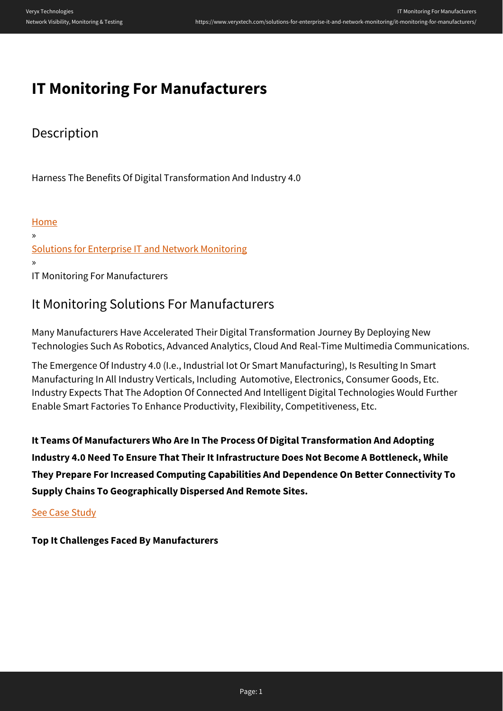# **IT Monitoring For Manufacturers**

## **Description**

Harness The Benefits Of Digital Transformation And Industry 4.0

#### [Home](https://www.veryxtech.com)

» [Solutions for Enterprise IT and Network Monitoring](https://www.veryxtech.com/solutions-for-enterprise-it-and-network-monitoring/) » IT Monitoring For Manufacturers

### It Monitoring Solutions For Manufacturers

Many Manufacturers Have Accelerated Their Digital Transformation Journey By Deploying New Technologies Such As Robotics, Advanced Analytics, Cloud And Real-Time Multimedia Communications.

The Emergence Of Industry 4.0 (I.e., Industrial Iot Or Smart Manufacturing), Is Resulting In Smart Manufacturing In All Industry Verticals, Including Automotive, Electronics, Consumer Goods, Etc. Industry Expects That The Adoption Of Connected And Intelligent Digital Technologies Would Further Enable Smart Factories To Enhance Productivity, Flexibility, Competitiveness, Etc.

**It Teams Of Manufacturers Who Are In The Process Of Digital Transformation And Adopting Industry 4.0 Need To Ensure That Their It Infrastructure Does Not Become A Bottleneck, While They Prepare For Increased Computing Capabilities And Dependence On Better Connectivity To Supply Chains To Geographically Dispersed And Remote Sites.**

#### [See Case Study](https://www.veryxtech.com/#contact)

**Top It Challenges Faced By Manufacturers**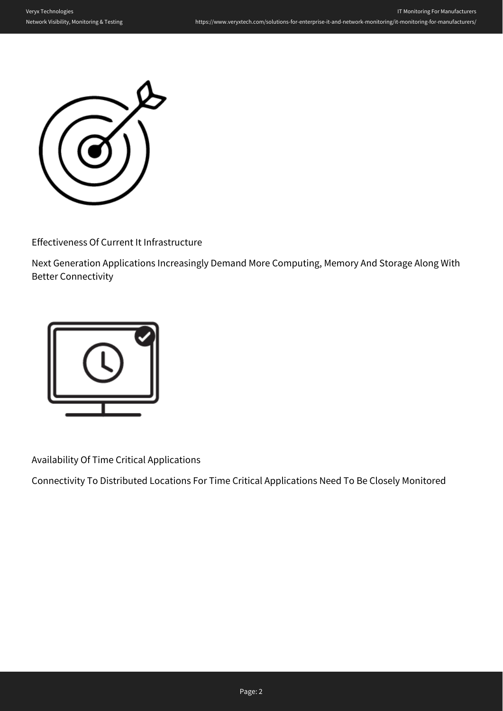

Effectiveness Of Current It Infrastructure

Next Generation Applications Increasingly Demand More Computing, Memory And Storage Along With Better Connectivity



Availability Of Time Critical Applications

Connectivity To Distributed Locations For Time Critical Applications Need To Be Closely Monitored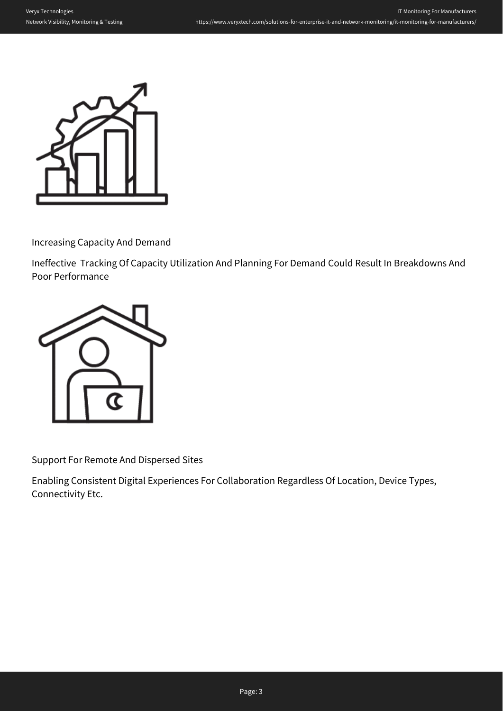

Increasing Capacity And Demand

Ineffective Tracking Of Capacity Utilization And Planning For Demand Could Result In Breakdowns And Poor Performance



Support For Remote And Dispersed Sites

Enabling Consistent Digital Experiences For Collaboration Regardless Of Location, Device Types, Connectivity Etc.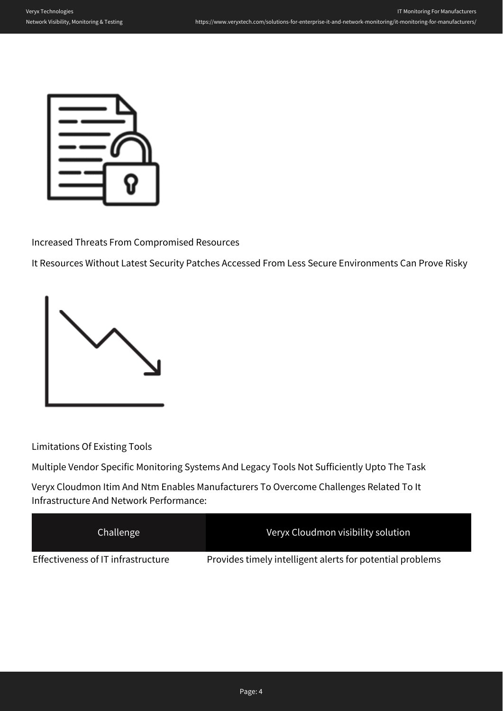

Increased Threats From Compromised Resources

It Resources Without Latest Security Patches Accessed From Less Secure Environments Can Prove Risky



Limitations Of Existing Tools

Multiple Vendor Specific Monitoring Systems And Legacy Tools Not Sufficiently Upto The Task

Veryx Cloudmon Itim And Ntm Enables Manufacturers To Overcome Challenges Related To It Infrastructure And Network Performance:

| Challenge                          | Veryx Cloudmon visibility solution                        |
|------------------------------------|-----------------------------------------------------------|
| Effectiveness of IT infrastructure | Provides timely intelligent alerts for potential problems |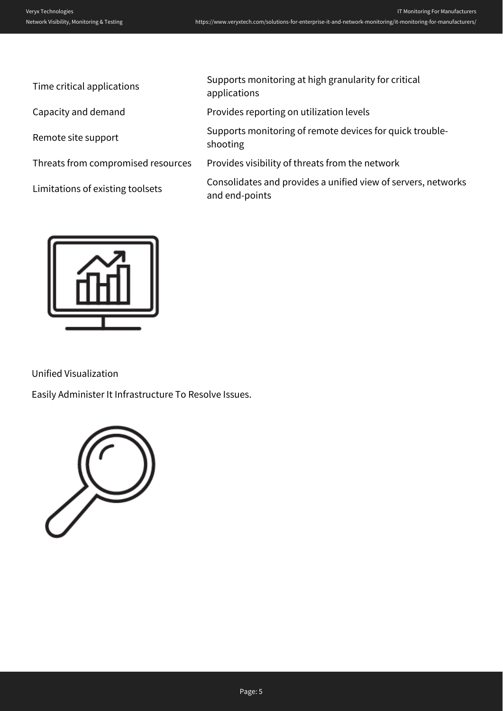| Time critical applications         | Supports monitoring at high granularity for critical<br>applications            |
|------------------------------------|---------------------------------------------------------------------------------|
| Capacity and demand                | Provides reporting on utilization levels                                        |
| Remote site support                | Supports monitoring of remote devices for quick trouble-<br>shooting            |
| Threats from compromised resources | Provides visibility of threats from the network                                 |
| Limitations of existing toolsets   | Consolidates and provides a unified view of servers, networks<br>and end-points |
|                                    |                                                                                 |



Unified Visualization

Easily Administer It Infrastructure To Resolve Issues.